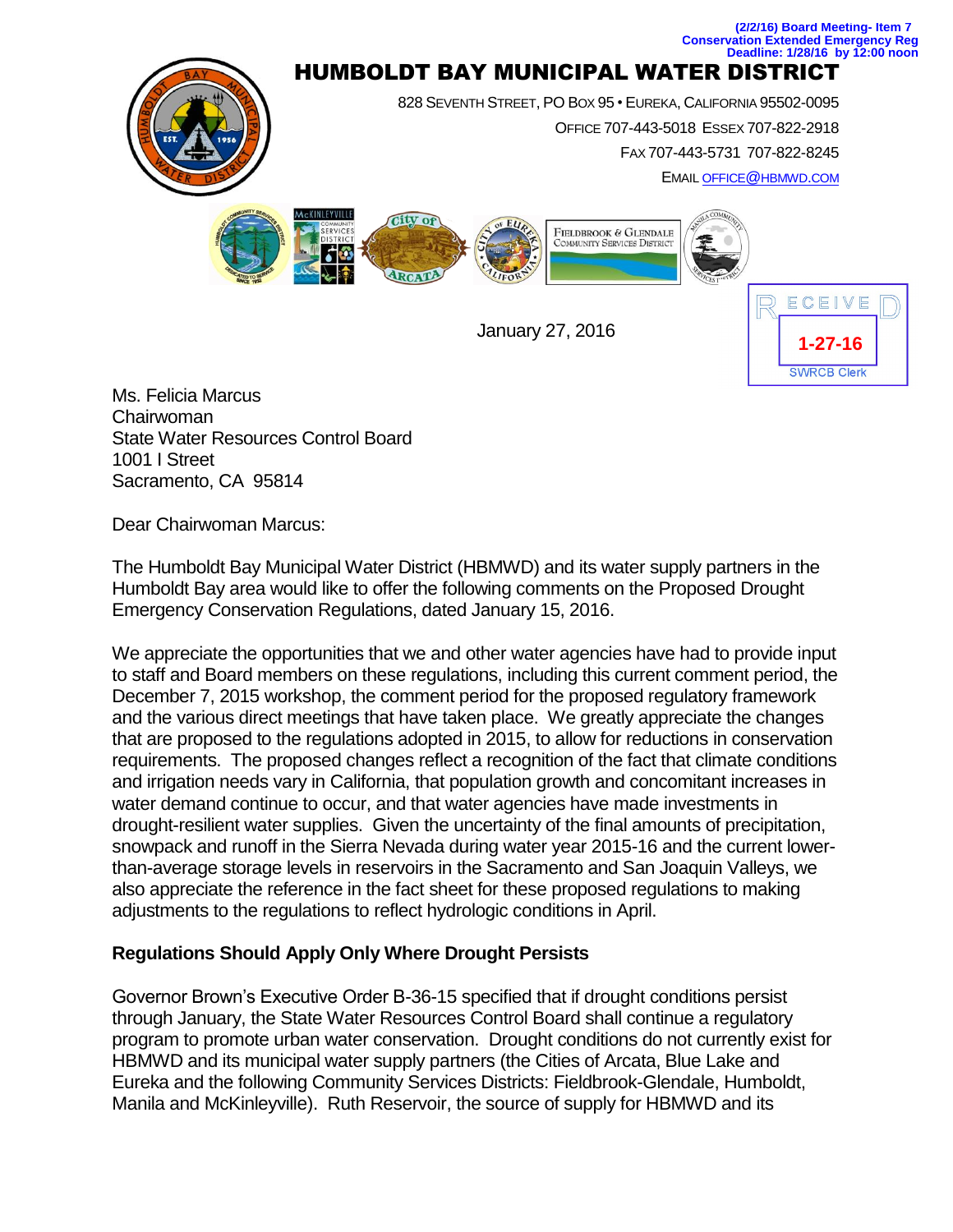

**(2/2/16) Board Meeting- Item 7**

Chairwoman State Water Resources Control Board 1001 I Street Sacramento, CA 95814

Dear Chairwoman Marcus:

The Humboldt Bay Municipal Water District (HBMWD) and its water supply partners in the Humboldt Bay area would like to offer the following comments on the Proposed Drought Emergency Conservation Regulations, dated January 15, 2016.

We appreciate the opportunities that we and other water agencies have had to provide input to staff and Board members on these regulations, including this current comment period, the December 7, 2015 workshop, the comment period for the proposed regulatory framework and the various direct meetings that have taken place. We greatly appreciate the changes that are proposed to the regulations adopted in 2015, to allow for reductions in conservation requirements. The proposed changes reflect a recognition of the fact that climate conditions and irrigation needs vary in California, that population growth and concomitant increases in water demand continue to occur, and that water agencies have made investments in drought-resilient water supplies. Given the uncertainty of the final amounts of precipitation, snowpack and runoff in the Sierra Nevada during water year 2015-16 and the current lowerthan-average storage levels in reservoirs in the Sacramento and San Joaquin Valleys, we also appreciate the reference in the fact sheet for these proposed regulations to making adjustments to the regulations to reflect hydrologic conditions in April.

## **Regulations Should Apply Only Where Drought Persists**

Governor Brown's Executive Order B-36-15 specified that if drought conditions persist through January, the State Water Resources Control Board shall continue a regulatory program to promote urban water conservation. Drought conditions do not currently exist for HBMWD and its municipal water supply partners (the Cities of Arcata, Blue Lake and Eureka and the following Community Services Districts: Fieldbrook-Glendale, Humboldt, Manila and McKinleyville). Ruth Reservoir, the source of supply for HBMWD and its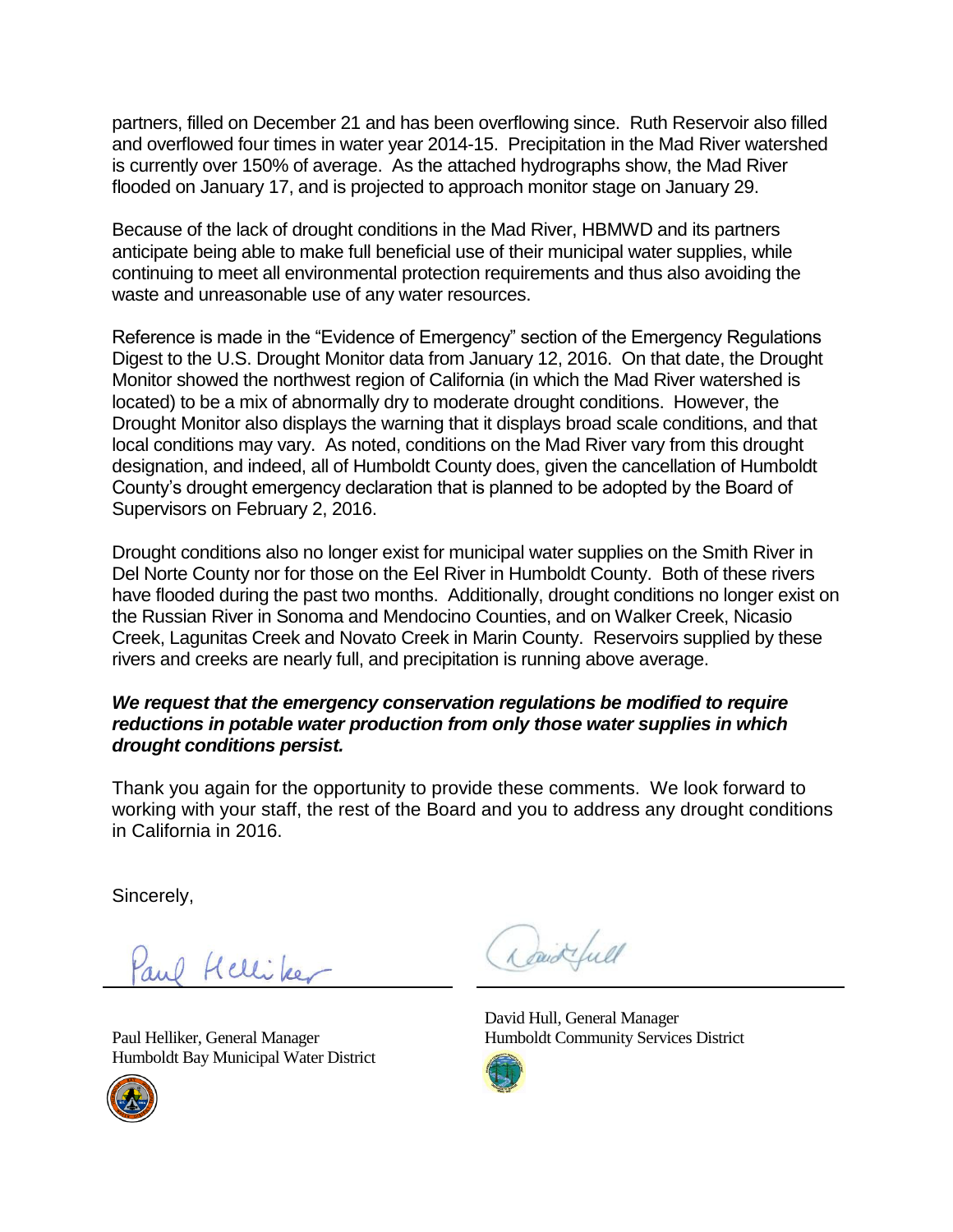partners, filled on December 21 and has been overflowing since. Ruth Reservoir also filled and overflowed four times in water year 2014-15. Precipitation in the Mad River watershed is currently over 150% of average. As the attached hydrographs show, the Mad River flooded on January 17, and is projected to approach monitor stage on January 29.

Because of the lack of drought conditions in the Mad River, HBMWD and its partners anticipate being able to make full beneficial use of their municipal water supplies, while continuing to meet all environmental protection requirements and thus also avoiding the waste and unreasonable use of any water resources.

Reference is made in the "Evidence of Emergency" section of the Emergency Regulations Digest to the U.S. Drought Monitor data from January 12, 2016. On that date, the Drought Monitor showed the northwest region of California (in which the Mad River watershed is located) to be a mix of abnormally dry to moderate drought conditions. However, the Drought Monitor also displays the warning that it displays broad scale conditions, and that local conditions may vary. As noted, conditions on the Mad River vary from this drought designation, and indeed, all of Humboldt County does, given the cancellation of Humboldt County's drought emergency declaration that is planned to be adopted by the Board of Supervisors on February 2, 2016.

Drought conditions also no longer exist for municipal water supplies on the Smith River in Del Norte County nor for those on the Eel River in Humboldt County. Both of these rivers have flooded during the past two months. Additionally, drought conditions no longer exist on the Russian River in Sonoma and Mendocino Counties, and on Walker Creek, Nicasio Creek, Lagunitas Creek and Novato Creek in Marin County. Reservoirs supplied by these rivers and creeks are nearly full, and precipitation is running above average.

## *We request that the emergency conservation regulations be modified to require reductions in potable water production from only those water supplies in which drought conditions persist.*

Thank you again for the opportunity to provide these comments. We look forward to working with your staff, the rest of the Board and you to address any drought conditions in California in 2016.

Sincerely,

and Helliker

Paul Helliker, General Manager Humboldt Bay Municipal Water District



David full

David Hull, General Manager Humboldt Community Services District

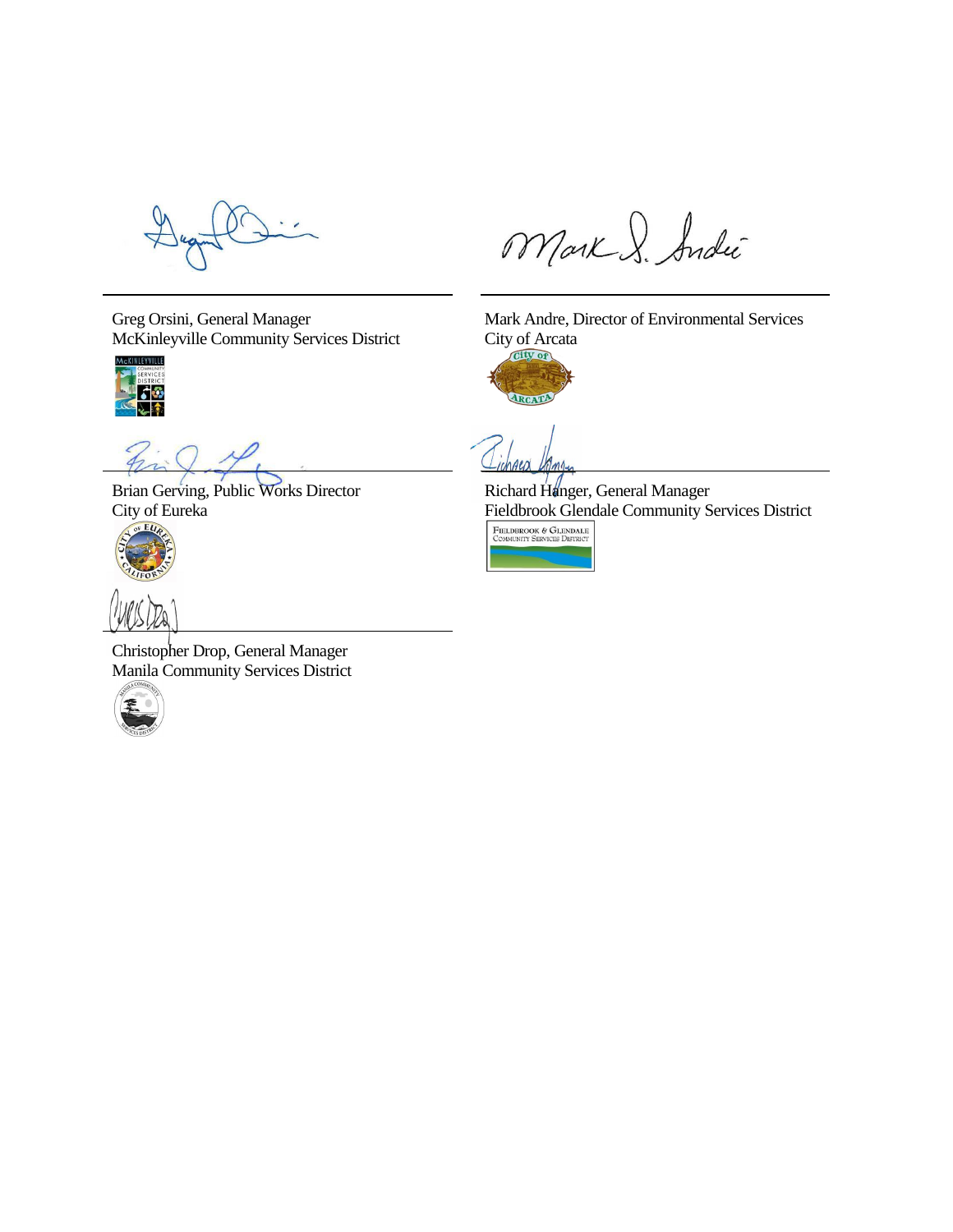Greg Orsini, General Manager McKinleyville Community Services District



Brian Gerving, Public Works Director City of Eureka



Christopher Drop, General Manager Manila Community Services District



Mark S. Andie

Mark Andre, Director of Environmental Services City of Arcata



 $\Delta \ell$ 

Richard Hanger, General Manager  $\frac{\text{Fieldbrook Glendale Community Services District}\left[\begin{smallmatrix}\text{FIELDBROOK & GLENDALE}\\ \text{COMMURITY SERTC}\\\text{COMMURITY SERTCID BISTRC}\end{smallmatrix}\right]$ 

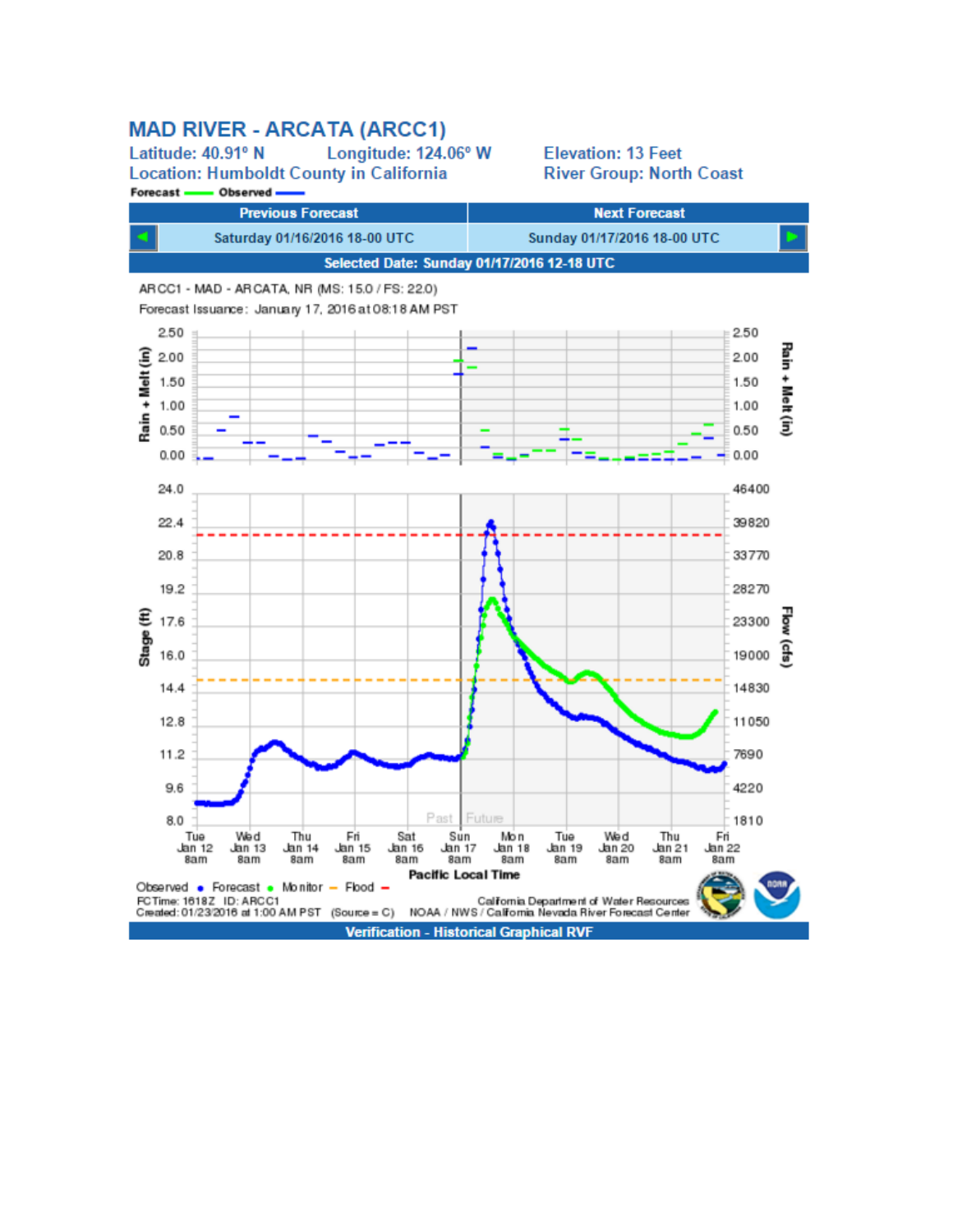## **MAD RIVER - ARCATA (ARCC1)**

Latitude: 40.91° N Longitude: 124.06° W **Location: Humboldt County in California** Forecast -Observed -

**Elevation: 13 Feet River Group: North Coast**